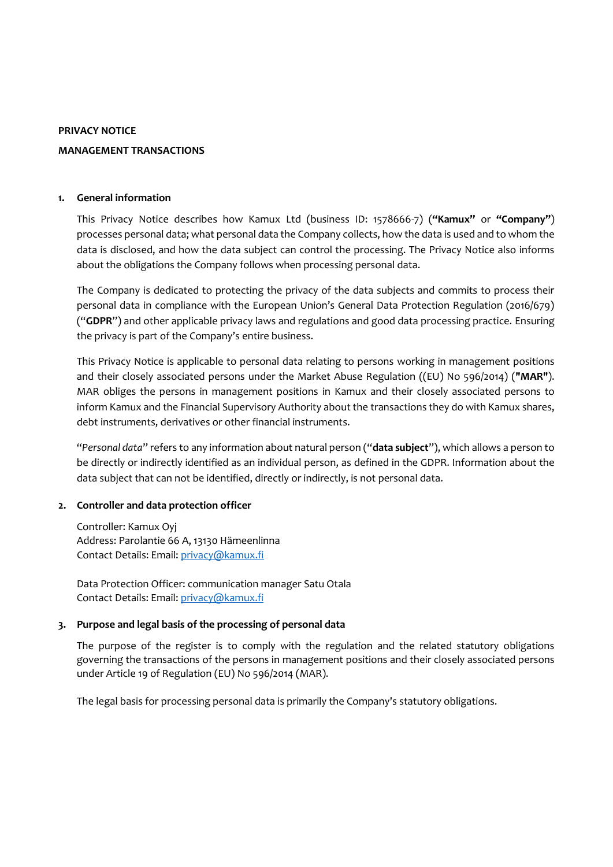#### **PRIVACY NOTICE**

### **MANAGEMENT TRANSACTIONS**

### **1. General information**

This Privacy Notice describes how Kamux Ltd (business ID: 1578666-7) (**"Kamux"** or **"Company"**) processes personal data; what personal data the Company collects, how the data is used and to whom the data is disclosed, and how the data subject can control the processing. The Privacy Notice also informs about the obligations the Company follows when processing personal data.

The Company is dedicated to protecting the privacy of the data subjects and commits to process their personal data in compliance with the European Union's General Data Protection Regulation (2016/679) ("**GDPR**") and other applicable privacy laws and regulations and good data processing practice. Ensuring the privacy is part of the Company's entire business.

This Privacy Notice is applicable to personal data relating to persons working in management positions and their closely associated persons under the Market Abuse Regulation ((EU) No 596/2014) (**"MAR"**). MAR obliges the persons in management positions in Kamux and their closely associated persons to inform Kamux and the Financial Supervisory Authority about the transactions they do with Kamux shares, debt instruments, derivatives or other financial instruments.

"*Personal data*" refers to any information about natural person ("**data subject**"), which allows a person to be directly or indirectly identified as an individual person, as defined in the GDPR. Information about the data subject that can not be identified, directly or indirectly, is not personal data.

## **2. Controller and data protection officer**

Controller: Kamux Oyj Address: Parolantie 66 A, 13130 Hämeenlinna Contact Details: Email[: privacy@kamux.fi](mailto:privacy@kamux.fi)

Data Protection Officer: communication manager Satu Otala Contact Details: Email[: privacy@kamux.fi](mailto:privacy@kamux.fi)

## **3. Purpose and legal basis of the processing of personal data**

The purpose of the register is to comply with the regulation and the related statutory obligations governing the transactions of the persons in management positions and their closely associated persons under Article 19 of Regulation (EU) No 596/2014 (MAR).

The legal basis for processing personal data is primarily the Company's statutory obligations.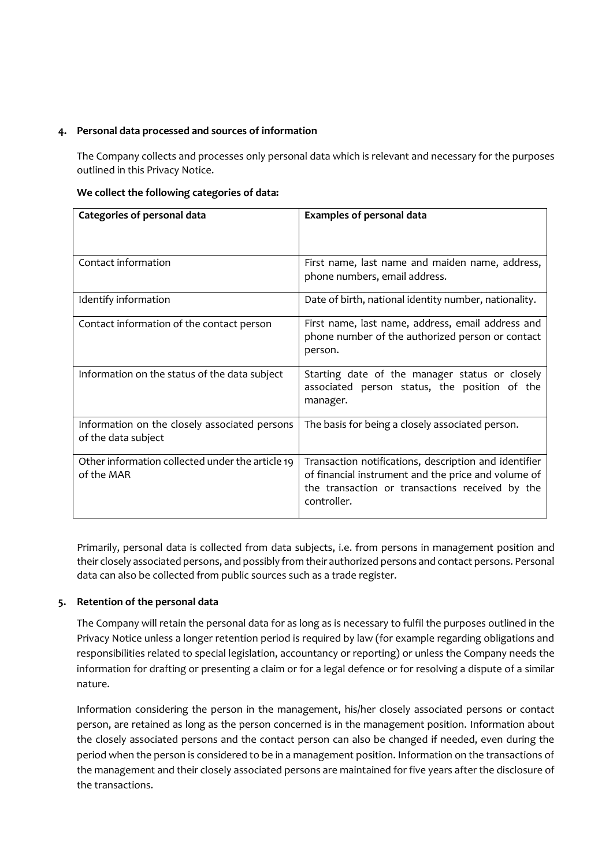## **4. Personal data processed and sources of information**

The Company collects and processes only personal data which is relevant and necessary for the purposes outlined in this Privacy Notice.

### **We collect the following categories of data:**

| Categories of personal data                                          | <b>Examples of personal data</b>                                                                                                                                               |
|----------------------------------------------------------------------|--------------------------------------------------------------------------------------------------------------------------------------------------------------------------------|
| Contact information                                                  | First name, last name and maiden name, address,<br>phone numbers, email address.                                                                                               |
| Identify information                                                 | Date of birth, national identity number, nationality.                                                                                                                          |
| Contact information of the contact person                            | First name, last name, address, email address and<br>phone number of the authorized person or contact<br>person.                                                               |
| Information on the status of the data subject                        | Starting date of the manager status or closely<br>associated person status, the position of the<br>manager.                                                                    |
| Information on the closely associated persons<br>of the data subject | The basis for being a closely associated person.                                                                                                                               |
| Other information collected under the article 19<br>of the MAR       | Transaction notifications, description and identifier<br>of financial instrument and the price and volume of<br>the transaction or transactions received by the<br>controller. |

Primarily, personal data is collected from data subjects, i.e. from persons in management position and their closely associated persons, and possibly from their authorized persons and contact persons. Personal data can also be collected from public sources such as a trade register.

# **5. Retention of the personal data**

The Company will retain the personal data for as long as is necessary to fulfil the purposes outlined in the Privacy Notice unless a longer retention period is required by law (for example regarding obligations and responsibilities related to special legislation, accountancy or reporting) or unless the Company needs the information for drafting or presenting a claim or for a legal defence or for resolving a dispute of a similar nature.

Information considering the person in the management, his/her closely associated persons or contact person, are retained as long as the person concerned is in the management position. Information about the closely associated persons and the contact person can also be changed if needed, even during the period when the person is considered to be in a management position. Information on the transactions of the management and their closely associated persons are maintained for five years after the disclosure of the transactions.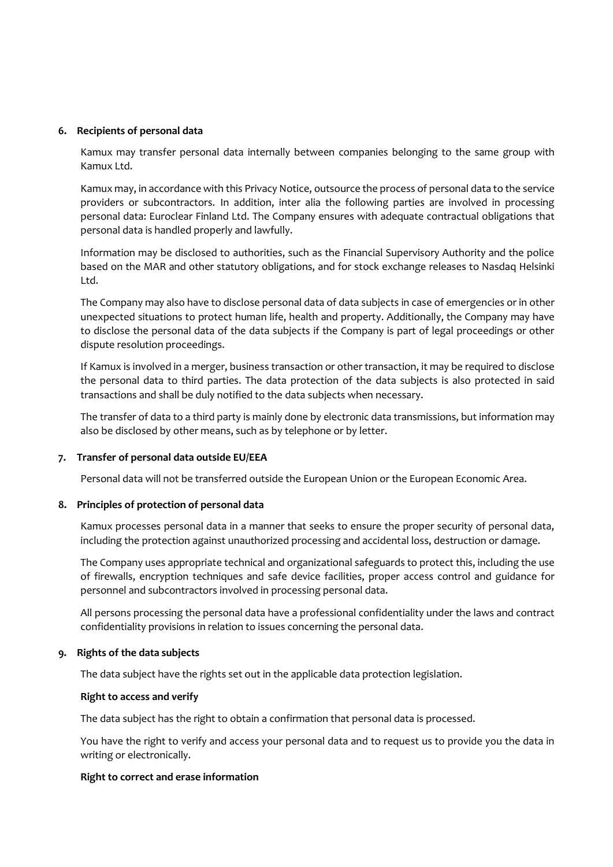### **6. Recipients of personal data**

Kamux may transfer personal data internally between companies belonging to the same group with Kamux Ltd.

Kamux may, in accordance with this Privacy Notice, outsource the process of personal data to the service providers or subcontractors. In addition, inter alia the following parties are involved in processing personal data: Euroclear Finland Ltd. The Company ensures with adequate contractual obligations that personal data is handled properly and lawfully.

Information may be disclosed to authorities, such as the Financial Supervisory Authority and the police based on the MAR and other statutory obligations, and for stock exchange releases to Nasdaq Helsinki Ltd.

The Company may also have to disclose personal data of data subjects in case of emergencies or in other unexpected situations to protect human life, health and property. Additionally, the Company may have to disclose the personal data of the data subjects if the Company is part of legal proceedings or other dispute resolution proceedings.

If Kamux is involved in a merger, business transaction or other transaction, it may be required to disclose the personal data to third parties. The data protection of the data subjects is also protected in said transactions and shall be duly notified to the data subjects when necessary.

The transfer of data to a third party is mainly done by electronic data transmissions, but information may also be disclosed by other means, such as by telephone or by letter.

## **7. Transfer of personal data outside EU/EEA**

Personal data will not be transferred outside the European Union or the European Economic Area.

## **8. Principles of protection of personal data**

Kamux processes personal data in a manner that seeks to ensure the proper security of personal data, including the protection against unauthorized processing and accidental loss, destruction or damage.

The Company uses appropriate technical and organizational safeguards to protect this, including the use of firewalls, encryption techniques and safe device facilities, proper access control and guidance for personnel and subcontractors involved in processing personal data.

All persons processing the personal data have a professional confidentiality under the laws and contract confidentiality provisions in relation to issues concerning the personal data.

## **9. Rights of the data subjects**

The data subject have the rights set out in the applicable data protection legislation.

#### **Right to access and verify**

The data subject has the right to obtain a confirmation that personal data is processed.

You have the right to verify and access your personal data and to request us to provide you the data in writing or electronically.

#### **Right to correct and erase information**